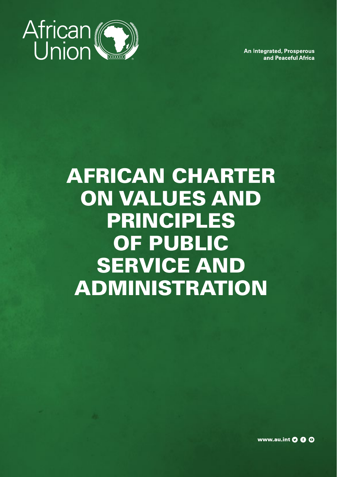

**An Integrated, Prosperous** and Peaceful Africa

# AFRICAN CHARTER ON VALUES AND PRINCIPLES OF PUBLIC SERVICE AND ADMINISTRATION

<sup>1</sup> **AFRICAN CHARTER**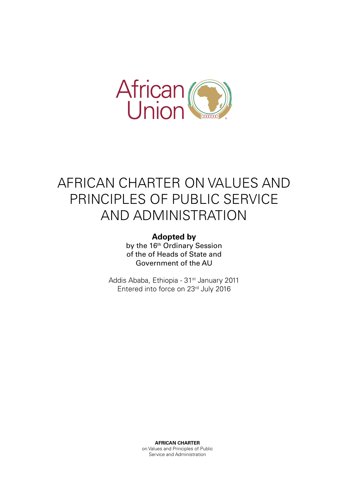

# AFRICAN CHARTER ON VALUES AND PRINCIPLES OF PUBLIC SERVICE AND ADMINISTRATION

#### **Adopted by**

by the 16<sup>th</sup> Ordinary Session of the of Heads of State and Government of the AU

Addis Ababa, Ethiopia - 31<sup>st</sup> January 2011 Entered into force on 23rd July 2016

> **AFRICAN CHARTER** on Values and Principles of Public Service and Administration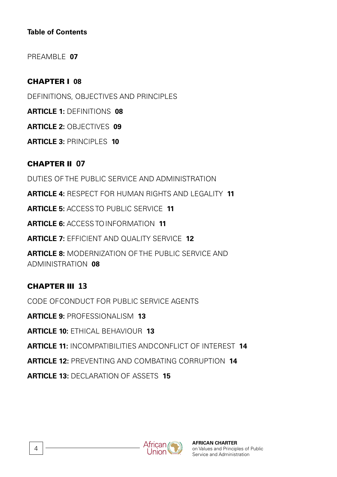#### **Table of Contents**

PREAMBLE **07**

#### CHAPTER I **08**

DEFINITIONS, OBJECTIVES AND PRINCIPLES

**ARTICLE 1:** DEFINITIONS **08**

**ARTICLE 2:** OBJECTIVES **09**

**ARTICLE 3:** PRINCIPLES **10**

CHAPTER II **07** DUTIES OF THE PUBLIC SERVICE AND ADMINISTRATION **ARTICLE 4:** RESPECT FOR HUMAN RIGHTS AND LEGALITY **11 ARTICLE 5:** ACCESS TO PUBLIC SERVICE **11 ARTICLE 6:** ACCESS TOINFORMATION **11 ARTICLE 7:** EFFICIENT AND QUALITY SERVICE **12 ARTICLE 8:** MODERNIZATION OF THE PUBLIC SERVICE AND ADMINISTRATION **08**

#### CHAPTER III **13**

CODE OFCONDUCT FOR PUBLIC SERVICE AGENTS

**ARTICLE 9:** PROFESSIONALISM **13**

**ARTICLE 10:** ETHICAL BEHAVIOUR **13**

**ARTICLE 11:** INCOMPATIBILITIES ANDCONFLICT OF INTEREST **14**

**ARTICLE 12:** PREVENTING AND COMBATING CORRUPTION **14**

**ARTICLE 13:** DECLARATION OF ASSETS **15**

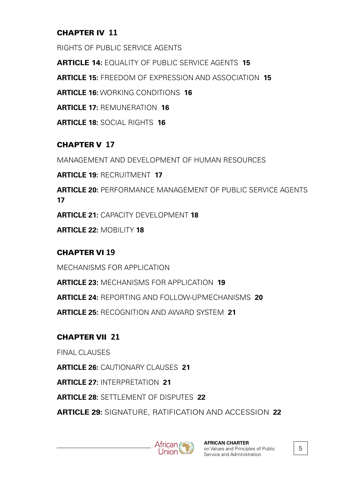#### CHAPTER IV **11**

RIGHTS OF PUBLIC SERVICE AGENTS

**ARTICLE 14:** EQUALITY OF PUBLIC SERVICE AGENTS **15**

**ARTICLE 15:** FREEDOM OF EXPRESSION AND ASSOCIATION **15**

**ARTICLE 16:** WORKING CONDITIONS **16**

**ARTICLE 17:** REMUNERATION **16**

**ARTICLE 18:** SOCIAL RIGHTS **16**

#### CHAPTER V **17**

MANAGEMENT AND DEVELOPMENT OF HUMAN RESOURCES

**ARTICLE 19:** RECRUITMENT **17**

**ARTICLE 20:** PERFORMANCE MANAGEMENT OF PUBLIC SERVICE AGENTS **17**

**ARTICLE 21:** CAPACITY DEVELOPMENT **18**

**ARTICLE 22:** MOBILITY **18**

#### CHAPTER VI **19**

MECHANISMS FOR APPLICATION **ARTICLE 23:** MECHANISMS FOR APPLICATION **19 ARTICLE 24:** REPORTING AND FOLLOW-UPMECHANISMS **20 ARTICLE 25:** RECOGNITION AND AWARD SYSTEM **21**

#### CHAPTER VII **21**

FINAL CLAUSES

**ARTICLE 26:** CAUTIONARY CLAUSES **21**

**ARTICLE 27:** INTERPRETATION **21**

**ARTICLE 28:** SETTLEMENT OF DISPUTES **22**

**ARTICLE 29:** SIGNATURE, RATIFICATION AND ACCESSION **22**

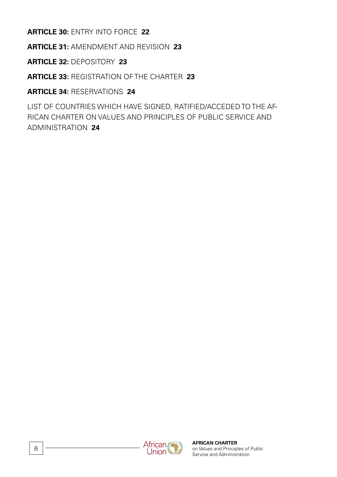**ARTICLE 30:** ENTRY INTO FORCE **22**

**ARTICLE 31:** AMENDMENT AND REVISION **23**

**ARTICLE 32:** DEPOSITORY **23**

**ARTICLE 33:** REGISTRATION OF THE CHARTER **23**

**ARTICLE 34:** RESERVATIONS **24**

LIST OF COUNTRIES WHICH HAVE SIGNED, RATIFIED/ACCEDED TO THE AF-RICAN CHARTER ON VALUES AND PRINCIPLES OF PUBLIC SERVICE AND ADMINISTRATION **24**

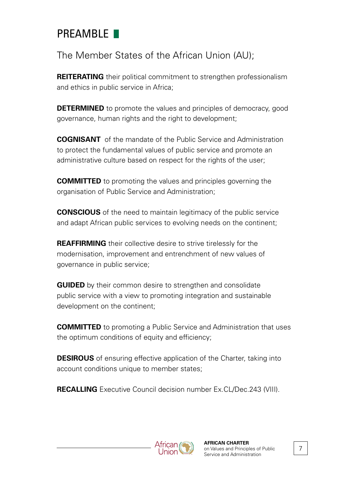## PREAMRIF<sup>1</sup>

The Member States of the African Union (AU);

**REITERATING** their political commitment to strengthen professionalism and ethics in public service in Africa;

**DETERMINED** to promote the values and principles of democracy, good governance, human rights and the right to development;

**COGNISANT** of the mandate of the Public Service and Administration to protect the fundamental values of public service and promote an administrative culture based on respect for the rights of the user;

**COMMITTED** to promoting the values and principles governing the organisation of Public Service and Administration;

**CONSCIOUS** of the need to maintain legitimacy of the public service and adapt African public services to evolving needs on the continent;

**REAFFIRMING** their collective desire to strive tirelessly for the modernisation, improvement and entrenchment of new values of governance in public service;

**GUIDED** by their common desire to strengthen and consolidate public service with a view to promoting integration and sustainable development on the continent;

**COMMITTED** to promoting a Public Service and Administration that uses the optimum conditions of equity and efficiency;

**DESIROUS** of ensuring effective application of the Charter, taking into account conditions unique to member states;

**RECALLING** Executive Council decision number Ex.CL/Dec.243 (VIII).



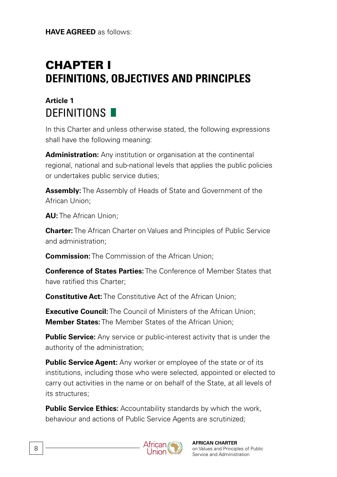**HAVE AGREED** as follows:

# CHAPTER I **DEFINITIONS, OBJECTIVES AND PRINCIPLES**

#### **Article 1** DEFINITIONS **N**

In this Charter and unless otherwise stated, the following expressions shall have the following meaning:

**Administration:** Any institution or organisation at the continental regional, national and sub-national levels that applies the public policies or undertakes public service duties;

**Assembly:** The Assembly of Heads of State and Government of the African Union;

**AU:** The African Union;

**Charter:** The African Charter on Values and Principles of Public Service and administration;

**Commission:** The Commission of the African Union;

**Conference of States Parties:** The Conference of Member States that have ratified this Charter;

**Constitutive Act:** The Constitutive Act of the African Union:

**Executive Council:** The Council of Ministers of the African Union: **Member States:** The Member States of the African Union;

**Public Service:** Any service or public-interest activity that is under the authority of the administration;

**Public Service Agent:** Any worker or employee of the state or of its institutions, including those who were selected, appointed or elected to carry out activities in the name or on behalf of the State, at all levels of its structures;

**Public Service Ethics:** Accountability standards by which the work, behaviour and actions of Public Service Agents are scrutinized;

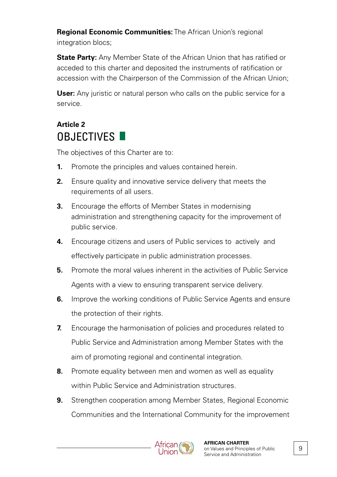**Regional Economic Communities:** The African Union's regional integration blocs;

**State Party:** Any Member State of the African Union that has ratified or acceded to this charter and deposited the instruments of ratification or accession with the Chairperson of the Commission of the African Union;

**User:** Any juristic or natural person who calls on the public service for a service.

### **Article 2** OBJECTIVES **II**

The objectives of this Charter are to:

- **1.** Promote the principles and values contained herein.
- **2.** Ensure quality and innovative service delivery that meets the requirements of all users.
- **3.** Encourage the efforts of Member States in modernising administration and strengthening capacity for the improvement of public service.
- **4.** Encourage citizens and users of Public services to actively and effectively participate in public administration processes.
- **5.** Promote the moral values inherent in the activities of Public Service Agents with a view to ensuring transparent service delivery.
- **6.** Improve the working conditions of Public Service Agents and ensure the protection of their rights.
- **7.** Encourage the harmonisation of policies and procedures related to Public Service and Administration among Member States with the aim of promoting regional and continental integration.
- **8.** Promote equality between men and women as well as equality within Public Service and Administration structures.
- **9.** Strengthen cooperation among Member States, Regional Economic Communities and the International Community for the improvement

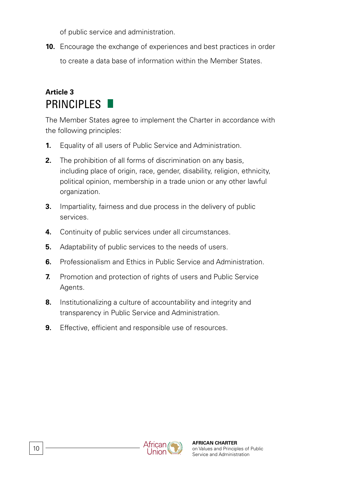of public service and administration.

**10.** Encourage the exchange of experiences and best practices in order to create a data base of information within the Member States.

#### **Article 3** PRINCIPI FS

The Member States agree to implement the Charter in accordance with the following principles:

- **1.** Equality of all users of Public Service and Administration.
- **2.** The prohibition of all forms of discrimination on any basis including place of origin, race, gender, disability, religion, ethnicity, political opinion, membership in a trade union or any other lawful organization.
- **3.** Impartiality, fairness and due process in the delivery of public services.
- **4.** Continuity of public services under all circumstances.
- **5.** Adaptability of public services to the needs of users.
- **6.** Professionalism and Ethics in Public Service and Administration.
- **7.** Promotion and protection of rights of users and Public Service Agents.
- **8.** Institutionalizing a culture of accountability and integrity and transparency in Public Service and Administration.
- **9.** Effective, efficient and responsible use of resources.

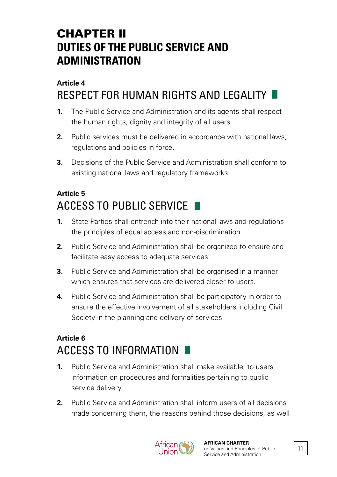# CHAPTER II **DUTIES OF THE PUBLIC SERVICE AND ADMINISTRATION**

#### **Article 4** RESPECT FOR HUMAN RIGHTS AND LEGALITY

- **1.** The Public Service and Administration and its agents shall respect the human rights, dignity and integrity of all users.
- **2.** Public services must be delivered in accordance with national laws, regulations and policies in force.
- **3.** Decisions of the Public Service and Administration shall conform to existing national laws and regulatory frameworks.

### **Article 5** ACCESS TO PUBLIC SERVICE

- **1.** State Parties shall entrench into their national laws and regulations the principles of equal access and non-discrimination.
- **2.** Public Service and Administration shall be organized to ensure and facilitate easy access to adequate services.
- **3.** Public Service and Administration shall be organised in a manner which ensures that services are delivered closer to users.
- **4.** Public Service and Administration shall be participatory in order to ensure the effective involvement of all stakeholders including Civil Society in the planning and delivery of services.

#### **Article 6** ACCESS TO INFORMATION

- **1.** Public Service and Administration shall make available to users information on procedures and formalities pertaining to public service delivery.
- **2.** Public Service and Administration shall inform users of all decisions made concerning them, the reasons behind those decisions, as well



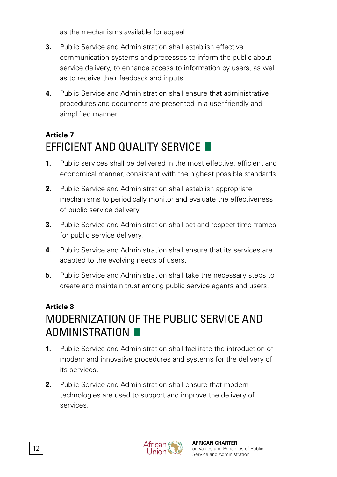as the mechanisms available for appeal.

- **3.** Public Service and Administration shall establish effective communication systems and processes to inform the public about service delivery, to enhance access to information by users, as well as to receive their feedback and inputs.
- **4.** Public Service and Administration shall ensure that administrative procedures and documents are presented in a user-friendly and simplified manner.

#### **Article 7** FFFICIENT AND OUALITY SERVICE

- **1.** Public services shall be delivered in the most effective, efficient and economical manner, consistent with the highest possible standards.
- **2.** Public Service and Administration shall establish appropriate mechanisms to periodically monitor and evaluate the effectiveness of public service delivery.
- **3.** Public Service and Administration shall set and respect time-frames for public service delivery.
- **4.** Public Service and Administration shall ensure that its services are adapted to the evolving needs of users.
- **5.** Public Service and Administration shall take the necessary steps to create and maintain trust among public service agents and users.

#### **Article 8** MODERNIZATION OF THE PUBLIC SERVICE AND ADMINISTRATION

- **1.** Public Service and Administration shall facilitate the introduction of modern and innovative procedures and systems for the delivery of its services.
- **2.** Public Service and Administration shall ensure that modern technologies are used to support and improve the delivery of services.

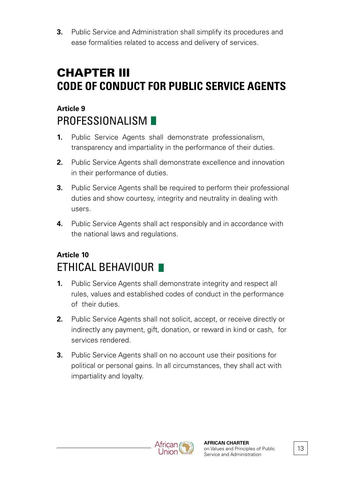**3.** Public Service and Administration shall simplify its procedures and ease formalities related to access and delivery of services.

# CHAPTER III **CODE OF CONDUCT FOR PUBLIC SERVICE AGENTS**

### **Article 9** PROFESSIONALISM **F**

- **1.** Public Service Agents shall demonstrate professionalism, transparency and impartiality in the performance of their duties.
- **2.** Public Service Agents shall demonstrate excellence and innovation in their performance of duties.
- **3.** Public Service Agents shall be required to perform their professional duties and show courtesy, integrity and neutrality in dealing with users.
- **4.** Public Service Agents shall act responsibly and in accordance with the national laws and regulations.

### **Article 10** ETHICAL BEHAVIOUR

- **1.** Public Service Agents shall demonstrate integrity and respect all rules, values and established codes of conduct in the performance of their duties.
- **2.** Public Service Agents shall not solicit, accept, or receive directly or indirectly any payment, gift, donation, or reward in kind or cash, for services rendered.
- **3.** Public Service Agents shall on no account use their positions for political or personal gains. In all circumstances, they shall act with impartiality and loyalty.

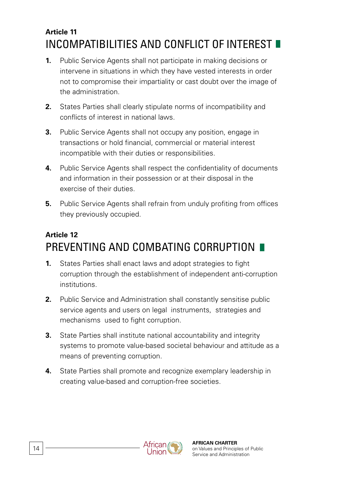#### **Article 11** INCOMPATIBILITIES AND CONFLICT OF INTEREST

- **1.** Public Service Agents shall not participate in making decisions or intervene in situations in which they have vested interests in order not to compromise their impartiality or cast doubt over the image of the administration.
- **2.** States Parties shall clearly stipulate norms of incompatibility and conflicts of interest in national laws.
- **3.** Public Service Agents shall not occupy any position, engage in transactions or hold financial, commercial or material interest incompatible with their duties or responsibilities.
- **4.** Public Service Agents shall respect the confidentiality of documents and information in their possession or at their disposal in the exercise of their duties.
- **5.** Public Service Agents shall refrain from unduly profiting from offices they previously occupied.

### **Article 12** PREVENTING AND COMBATING CORRUPTION

- **1.** States Parties shall enact laws and adopt strategies to fight corruption through the establishment of independent anti-corruption institutions.
- **2.** Public Service and Administration shall constantly sensitise public service agents and users on legal instruments, strategies and mechanisms used to fight corruption.
- **3.** State Parties shall institute national accountability and integrity systems to promote value-based societal behaviour and attitude as a means of preventing corruption.
- **4.** State Parties shall promote and recognize exemplary leadership in creating value-based and corruption-free societies.

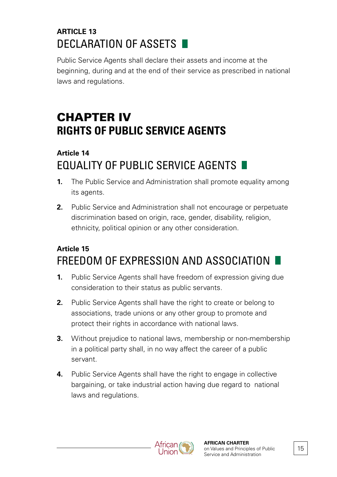#### **ARTICLE 13** DECLARATION OF ASSETS

Public Service Agents shall declare their assets and income at the beginning, during and at the end of their service as prescribed in national laws and regulations.

# CHAPTER IV **RIGHTS OF PUBLIC SERVICE AGENTS**

#### **Article 14** EQUALITY OF PUBLIC SERVICE AGENTS

- **1.** The Public Service and Administration shall promote equality among its agents.
- **2.** Public Service and Administration shall not encourage or perpetuate discrimination based on origin, race, gender, disability, religion, ethnicity, political opinion or any other consideration.

#### **Article 15** FREEDOM OF EXPRESSION AND ASSOCIATION

- **1.** Public Service Agents shall have freedom of expression giving due consideration to their status as public servants.
- **2.** Public Service Agents shall have the right to create or belong to associations, trade unions or any other group to promote and protect their rights in accordance with national laws.
- **3.** Without prejudice to national laws, membership or non-membership in a political party shall, in no way affect the career of a public servant.
- **4.** Public Service Agents shall have the right to engage in collective bargaining, or take industrial action having due regard to national laws and regulations.



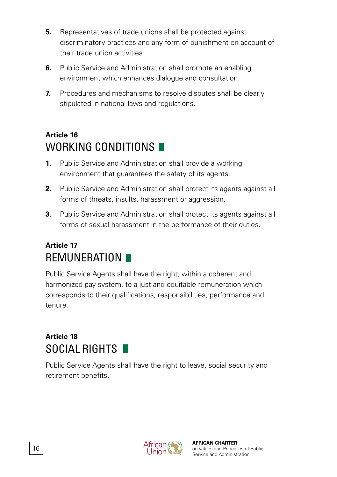- **5.** Representatives of trade unions shall be protected against discriminatory practices and any form of punishment on account of their trade union activities.
- **6.** Public Service and Administration shall promote an enabling environment which enhances dialogue and consultation.
- **7.** Procedures and mechanisms to resolve disputes shall be clearly stipulated in national laws and regulations.

### **Article 16** WORKING CONDITIONS

- **1.** Public Service and Administration shall provide a working environment that guarantees the safety of its agents.
- **2.** Public Service and Administration shall protect its agents against all forms of threats, insults, harassment or aggression.
- **3.** Public Service and Administration shall protect its agents against all forms of sexual harassment in the performance of their duties.

#### **Article 17** REMUNERATION

Public Service Agents shall have the right, within a coherent and harmonized pay system, to a just and equitable remuneration which corresponds to their qualifications, responsibilities, performance and tenure.

#### **Article 18** SOCIAL RIGHTS

Public Service Agents shall have the right to leave, social security and retirement benefits.

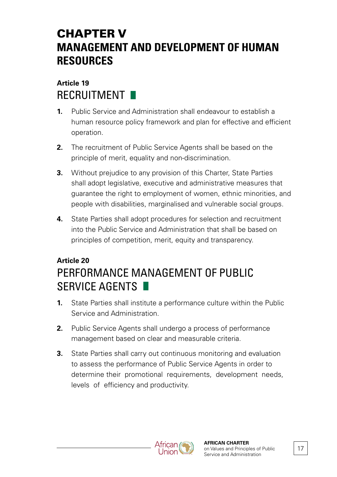# CHAPTER V **MANAGEMENT AND DEVELOPMENT OF HUMAN RESOURCES**

#### **Article 19** RECRUITMENT

- **1.** Public Service and Administration shall endeavour to establish a human resource policy framework and plan for effective and efficient operation.
- **2.** The recruitment of Public Service Agents shall be based on the principle of merit, equality and non-discrimination.
- **3.** Without prejudice to any provision of this Charter, State Parties shall adopt legislative, executive and administrative measures that guarantee the right to employment of women, ethnic minorities, and people with disabilities, marginalised and vulnerable social groups.
- **4.** State Parties shall adopt procedures for selection and recruitment into the Public Service and Administration that shall be based on principles of competition, merit, equity and transparency.

### **Article 20** PERFORMANCE MANAGEMENT OF PUBLIC SERVICE AGENTS

- **1.** State Parties shall institute a performance culture within the Public Service and Administration.
- **2.** Public Service Agents shall undergo a process of performance management based on clear and measurable criteria.
- **3.** State Parties shall carry out continuous monitoring and evaluation to assess the performance of Public Service Agents in order to determine their promotional requirements, development needs, levels of efficiency and productivity.



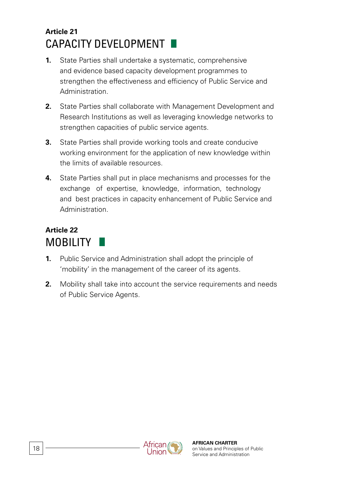#### **Article 21** CAPACITY DEVELOPMENT

- **1.** State Parties shall undertake a systematic, comprehensive and evidence based capacity development programmes to strengthen the effectiveness and efficiency of Public Service and Administration.
- **2.** State Parties shall collaborate with Management Development and Research Institutions as well as leveraging knowledge networks to strengthen capacities of public service agents.
- **3.** State Parties shall provide working tools and create conducive working environment for the application of new knowledge within the limits of available resources.
- **4.** State Parties shall put in place mechanisms and processes for the exchange of expertise, knowledge, information, technology and best practices in capacity enhancement of Public Service and Administration.

#### **Article 22** MOBILITY

- **1.** Public Service and Administration shall adopt the principle of 'mobility' in the management of the career of its agents.
- **2.** Mobility shall take into account the service requirements and needs of Public Service Agents.

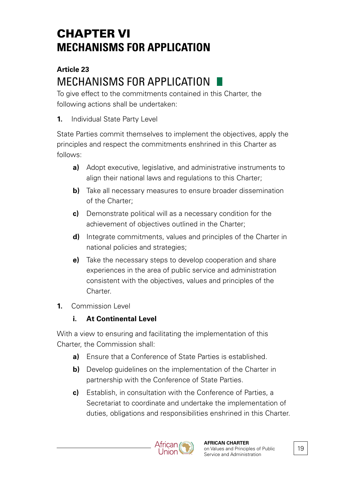# CHAPTER VI **MECHANISMS FOR APPLICATION**

#### **Article 23** MECHANISMS FOR APPLICATION

To give effect to the commitments contained in this Charter, the following actions shall be undertaken:

**1.** Individual State Party Level

State Parties commit themselves to implement the objectives, apply the principles and respect the commitments enshrined in this Charter as follows:

- **a)** Adopt executive, legislative, and administrative instruments to align their national laws and regulations to this Charter;
- **b)** Take all necessary measures to ensure broader dissemination of the Charter;
- **c)** Demonstrate political will as a necessary condition for the achievement of objectives outlined in the Charter;
- **d)** Integrate commitments, values and principles of the Charter in national policies and strategies;
- **e)** Take the necessary steps to develop cooperation and share experiences in the area of public service and administration consistent with the objectives, values and principles of the Charter.
- **1.** Commission Level

#### **i. At Continental Level**

With a view to ensuring and facilitating the implementation of this Charter, the Commission shall:

- **a)** Ensure that a Conference of State Parties is established.
- **b)** Develop quidelines on the implementation of the Charter in partnership with the Conference of State Parties.
- **c)** Establish, in consultation with the Conference of Parties, a Secretariat to coordinate and undertake the implementation of duties, obligations and responsibilities enshrined in this Charter.

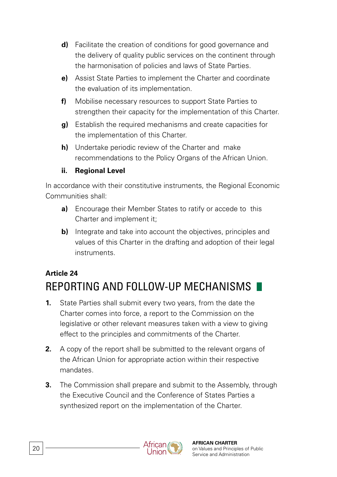- **d)** Facilitate the creation of conditions for good governance and the delivery of quality public services on the continent through the harmonisation of policies and laws of State Parties.
- **e)** Assist State Parties to implement the Charter and coordinate the evaluation of its implementation.
- **f)** Mobilise necessary resources to support State Parties to strengthen their capacity for the implementation of this Charter.
- **g)** Establish the required mechanisms and create capacities for the implementation of this Charter.
- **h)** Undertake periodic review of the Charter and make recommendations to the Policy Organs of the African Union.

#### **ii. Regional Level**

In accordance with their constitutive instruments, the Regional Economic Communities shall:

- **a)** Encourage their Member States to ratify or accede to this Charter and implement it;
- **b)** Integrate and take into account the objectives, principles and values of this Charter in the drafting and adoption of their legal instruments.

#### **Article 24** REPORTING AND FOLLOW-UP MECHANISMS

- **1.** State Parties shall submit every two years, from the date the Charter comes into force, a report to the Commission on the legislative or other relevant measures taken with a view to giving effect to the principles and commitments of the Charter.
- **2.** A copy of the report shall be submitted to the relevant organs of the African Union for appropriate action within their respective mandates.
- **3.** The Commission shall prepare and submit to the Assembly, through the Executive Council and the Conference of States Parties a synthesized report on the implementation of the Charter.

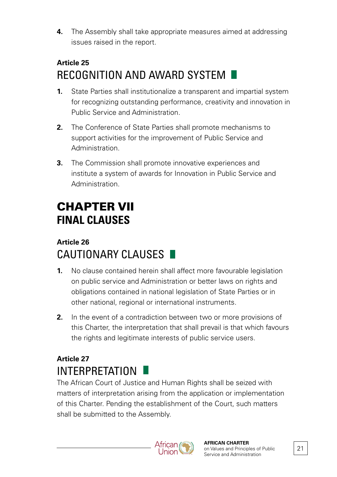**4.** The Assembly shall take appropriate measures aimed at addressing issues raised in the report.

### **Article 25** RECOGNITION AND AWARD SYSTEM

- **1.** State Parties shall institutionalize a transparent and impartial system for recognizing outstanding performance, creativity and innovation in Public Service and Administration.
- **2.** The Conference of State Parties shall promote mechanisms to support activities for the improvement of Public Service and Administration.
- **3.** The Commission shall promote innovative experiences and institute a system of awards for Innovation in Public Service and Administration.

# CHAPTER VII **FINAL CLAUSES**

#### **Article 26** CAUTIONARY CLAUSES

- **1.** No clause contained herein shall affect more favourable legislation on public service and Administration or better laws on rights and obligations contained in national legislation of State Parties or in other national, regional or international instruments.
- **2.** In the event of a contradiction between two or more provisions of this Charter, the interpretation that shall prevail is that which favours the rights and legitimate interests of public service users.

### **Article 27** INTERPRETATION

The African Court of Justice and Human Rights shall be seized with matters of interpretation arising from the application or implementation of this Charter. Pending the establishment of the Court, such matters shall be submitted to the Assembly.

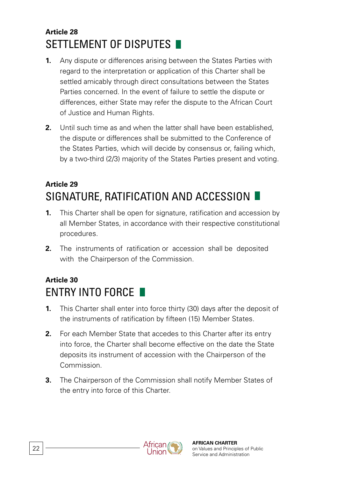#### **Article 28** SETTLEMENT OF DISPUTES

- **1.** Any dispute or differences arising between the States Parties with regard to the interpretation or application of this Charter shall be settled amicably through direct consultations between the States Parties concerned. In the event of failure to settle the dispute or differences, either State may refer the dispute to the African Court of Justice and Human Rights.
- **2.** Until such time as and when the latter shall have been established, the dispute or differences shall be submitted to the Conference of the States Parties, which will decide by consensus or, failing which, by a two-third (2/3) majority of the States Parties present and voting.

### **Article 29** SIGNATURE, RATIFICATION AND ACCESSION

- **1.** This Charter shall be open for signature, ratification and accession by all Member States, in accordance with their respective constitutional procedures.
- **2.** The instruments of ratification or accession shall be deposited with the Chairperson of the Commission.

#### **Article 30** ENTRY INTO FORCE

- **1.** This Charter shall enter into force thirty (30) days after the deposit of the instruments of ratification by fifteen (15) Member States.
- **2.** For each Member State that accedes to this Charter after its entry into force, the Charter shall become effective on the date the State deposits its instrument of accession with the Chairperson of the Commission.
- **3.** The Chairperson of the Commission shall notify Member States of the entry into force of this Charter.

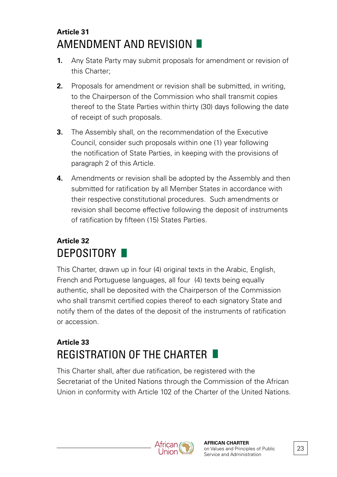#### **Article 31** AMENDMENT AND REVISION

- **1.** Any State Party may submit proposals for amendment or revision of this Charter;
- **2.** Proposals for amendment or revision shall be submitted, in writing, to the Chairperson of the Commission who shall transmit copies thereof to the State Parties within thirty (30) days following the date of receipt of such proposals.
- **3.** The Assembly shall, on the recommendation of the Executive Council, consider such proposals within one (1) year following the notification of State Parties, in keeping with the provisions of paragraph 2 of this Article.
- **4.** Amendments or revision shall be adopted by the Assembly and then submitted for ratification by all Member States in accordance with their respective constitutional procedures. Such amendments or revision shall become effective following the deposit of instruments of ratification by fifteen (15) States Parties.

#### **Article 32** DEPOSITORY **N**

This Charter, drawn up in four (4) original texts in the Arabic, English, French and Portuguese languages, all four (4) texts being equally authentic, shall be deposited with the Chairperson of the Commission who shall transmit certified copies thereof to each signatory State and notify them of the dates of the deposit of the instruments of ratification or accession.

### **Article 33** REGISTRATION OF THE CHARTER

This Charter shall, after due ratification, be registered with the Secretariat of the United Nations through the Commission of the African Union in conformity with Article 102 of the Charter of the United Nations.



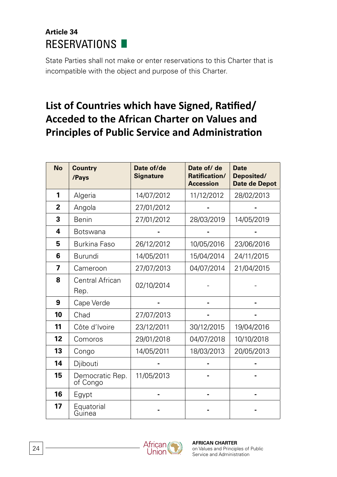#### **Article 34** RESERVATIONS **N**

State Parties shall not make or enter reservations to this Charter that is incompatible with the object and purpose of this Charter.

#### **List of Countries which have Signed, Ratified/ Acceded to the African Charter on Values and Principles of Public Service and Administration**

| <b>No</b>    | <b>Country</b><br>/Pays     | Date of/de<br><b>Signature</b> | Date of/ de<br>Ratification/<br><b>Accession</b> | <b>Date</b><br>Deposited/<br><b>Date de Depot</b> |
|--------------|-----------------------------|--------------------------------|--------------------------------------------------|---------------------------------------------------|
| 1            | Algeria                     | 14/07/2012                     | 11/12/2012                                       | 28/02/2013                                        |
| $\mathbf{2}$ | Angola                      | 27/01/2012                     |                                                  |                                                   |
| 3            | Benin                       | 27/01/2012                     | 28/03/2019                                       | 14/05/2019                                        |
| 4            | <b>Botswana</b>             |                                |                                                  |                                                   |
| 5            | Burkina Faso                | 26/12/2012                     | 10/05/2016                                       | 23/06/2016                                        |
| 6            | Burundi                     | 14/05/2011                     | 15/04/2014                                       | 24/11/2015                                        |
| 7            | Cameroon                    | 27/07/2013                     | 04/07/2014                                       | 21/04/2015                                        |
| 8            | Central African<br>Rep.     | 02/10/2014                     |                                                  |                                                   |
| 9            | Cape Verde                  |                                |                                                  |                                                   |
| 10           | Chad                        | 27/07/2013                     |                                                  |                                                   |
| 11           | Côte d'Ivoire               | 23/12/2011                     | 30/12/2015                                       | 19/04/2016                                        |
| 12           | Comoros                     | 29/01/2018                     | 04/07/2018                                       | 10/10/2018                                        |
| 13           | Congo                       | 14/05/2011                     | 18/03/2013                                       | 20/05/2013                                        |
| 14           | Diibouti                    |                                |                                                  |                                                   |
| 15           | Democratic Rep.<br>of Congo | 11/05/2013                     |                                                  |                                                   |
| 16           | Egypt                       |                                |                                                  |                                                   |
| 17           | Equatorial<br>Guinea        |                                |                                                  |                                                   |

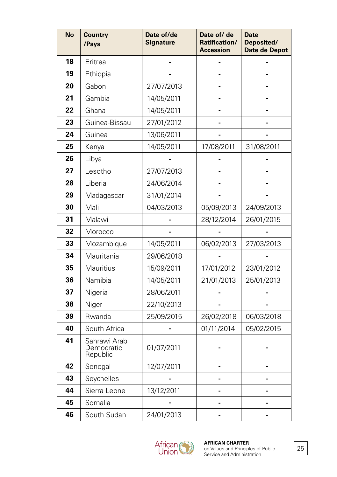| No | Country<br>/Pays                       | Date of/de<br><b>Signature</b> | Date of/ de<br>Ratification/<br>Accession | <b>Date</b><br>Deposited/<br>Date de Depot |
|----|----------------------------------------|--------------------------------|-------------------------------------------|--------------------------------------------|
| 18 | Eritrea                                |                                |                                           |                                            |
| 19 | Ethiopia                               |                                |                                           |                                            |
| 20 | Gabon                                  | 27/07/2013                     |                                           |                                            |
| 21 | Gambia                                 | 14/05/2011                     |                                           |                                            |
| 22 | Ghana                                  | 14/05/2011                     |                                           |                                            |
| 23 | Guinea-Bissau                          | 27/01/2012                     |                                           |                                            |
| 24 | Guinea                                 | 13/06/2011                     |                                           |                                            |
| 25 | Kenya                                  | 14/05/2011                     | 17/08/2011                                | 31/08/2011                                 |
| 26 | Libya                                  |                                |                                           |                                            |
| 27 | Lesotho                                | 27/07/2013                     |                                           |                                            |
| 28 | Liberia                                | 24/06/2014                     |                                           |                                            |
| 29 | Madagascar                             | 31/01/2014                     |                                           |                                            |
| 30 | Mali                                   | 04/03/2013                     | 05/09/2013                                | 24/09/2013                                 |
| 31 | Malawi                                 |                                | 28/12/2014                                | 26/01/2015                                 |
| 32 | Morocco                                |                                |                                           |                                            |
| 33 | Mozambique                             | 14/05/2011                     | 06/02/2013                                | 27/03/2013                                 |
| 34 | Mauritania                             | 29/06/2018                     |                                           |                                            |
| 35 | Mauritius                              | 15/09/2011                     | 17/01/2012                                | 23/01/2012                                 |
| 36 | Namibia                                | 14/05/2011                     | 21/01/2013                                | 25/01/2013                                 |
| 37 | Nigeria                                | 28/06/2011                     |                                           |                                            |
| 38 | Niger                                  | 22/10/2013                     |                                           |                                            |
| 39 | Rwanda                                 | 25/09/2015                     | 26/02/2018                                | 06/03/2018                                 |
| 40 | South Africa                           |                                | 01/11/2014                                | 05/02/2015                                 |
| 41 | Sahrawi Arab<br>Democratic<br>Republic | 01/07/2011                     |                                           |                                            |
| 42 | Senegal                                | 12/07/2011                     |                                           |                                            |
| 43 | Seychelles                             |                                |                                           |                                            |
| 44 | Sierra Leone                           | 13/12/2011                     |                                           |                                            |
| 45 | Somalia                                |                                |                                           |                                            |
| 46 | South Sudan                            | 24/01/2013                     |                                           |                                            |

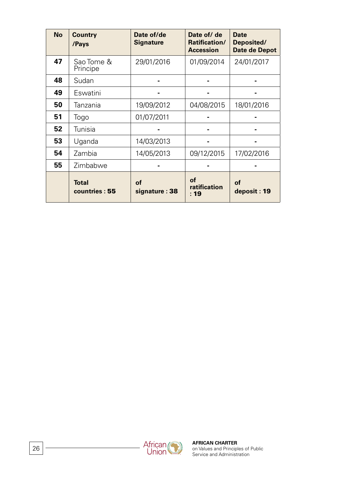| <b>No</b> | Country<br>/Pays              | Date of/de<br><b>Signature</b> | Date of/ de<br>Ratification/<br><b>Accession</b> | <b>Date</b><br>Deposited/<br>Date de Depot |
|-----------|-------------------------------|--------------------------------|--------------------------------------------------|--------------------------------------------|
| 47        | Sao Tome &<br>Principe        | 29/01/2016                     | 01/09/2014                                       | 24/01/2017                                 |
| 48        | Sudan                         |                                |                                                  |                                            |
| 49        | Eswatini                      |                                |                                                  |                                            |
| 50        | Tanzania                      | 19/09/2012                     | 04/08/2015                                       | 18/01/2016                                 |
| 51        | Togo                          | 01/07/2011                     |                                                  |                                            |
| 52        | Tunisia                       |                                |                                                  |                                            |
| 53        | Uganda                        | 14/03/2013                     |                                                  |                                            |
| 54        | Zambia                        | 14/05/2013                     | 09/12/2015                                       | 17/02/2016                                 |
| 55        | Zimbabwe                      |                                |                                                  |                                            |
|           | <b>Total</b><br>countries: 55 | οf<br>signature: 38            | οf<br>ratification<br>$\cdot$ 19                 | οf<br>deposit: 19                          |